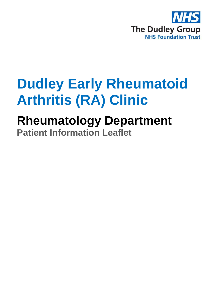

# **Dudley Early Rheumatoid Arthritis (RA) Clinic**

## **Rheumatology Department Patient Information Leaflet**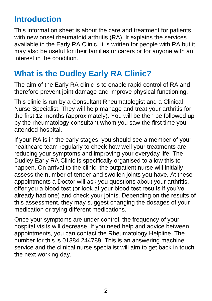## **Introduction**

This information sheet is about the care and treatment for patients with new onset rheumatoid arthritis (RA). It explains the services available in the Early RA Clinic. It is written for people with RA but it may also be useful for their families or carers or for anyone with an interest in the condition.

### **What is the Dudley Early RA Clinic?**

The aim of the Early RA clinic is to enable rapid control of RA and therefore prevent joint damage and improve physical functioning.

This clinic is run by a Consultant Rheumatologist and a Clinical Nurse Specialist. They will help manage and treat your arthritis for the first 12 months (approximately). You will be then be followed up by the rheumatology consultant whom you saw the first time you attended hospital.

If your RA is in the early stages, you should see a member of your healthcare team regularly to check how well your treatments are reducing your symptoms and improving your everyday life. The Dudley Early RA Clinic is specifically organised to allow this to happen. On arrival to the clinic, the outpatient nurse will initially assess the number of tender and swollen joints you have. At these appointments a Doctor will ask you questions about your arthritis, offer you a blood test (or look at your blood test results if you've already had one) and check your joints. Depending on the results of this assessment, they may suggest changing the dosages of your medication or trying different medications.

Once your symptoms are under control, the frequency of your hospital visits will decrease. If you need help and advice between appointments, you can contact the Rheumatology Helpline. The number for this is 01384 244789. This is an answering machine service and the clinical nurse specialist will aim to get back in touch the next working day.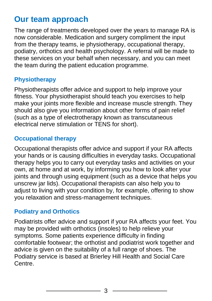## **Our team approach**

The range of treatments developed over the years to manage RA is now considerable. Medication and surgery compliment the input from the therapy teams, ie physiotherapy, occupational therapy, podiatry, orthotics and health psychology. A referral will be made to these services on your behalf when necessary, and you can meet the team during the patient education programme.

#### **Physiotherapy**

Physiotherapists offer advice and support to help improve your fitness. Your physiotherapist should teach you exercises to help make your joints more flexible and increase muscle strength. They should also give you information about other forms of pain relief (such as a type of electrotherapy known as transcutaneous electrical nerve stimulation or TENS for short).

#### **Occupational therapy**

Occupational therapists offer advice and support if your RA affects your hands or is causing difficulties in everyday tasks. Occupational therapy helps you to carry out everyday tasks and activities on your own, at home and at work, by informing you how to look after your joints and through using equipment (such as a device that helps you unscrew jar lids). Occupational therapists can also help you to adjust to living with your condition by, for example, offering to show you relaxation and stress-management techniques.

#### **Podiatry and Orthotics**

Podiatrists offer advice and support if your RA affects your feet. You may be provided with orthotics (insoles) to help relieve your symptoms. Some patients experience difficulty in finding comfortable footwear; the orthotist and podiatrist work together and advice is given on the suitability of a full range of shoes. The Podiatry service is based at Brierley Hill Health and Social Care Centre.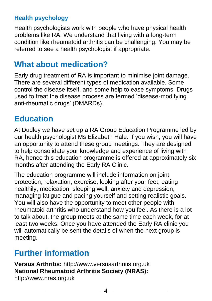#### **Health psychology**

Health psychologists work with people who have physical health problems like RA. We understand that living with a long-term condition like rheumatoid arthritis can be challenging. You may be referred to see a health psychologist if appropriate.

## **What about medication?**

Early drug treatment of RA is important to minimise joint damage. There are several different types of medication available. Some control the disease itself, and some help to ease symptoms. Drugs used to treat the disease process are termed 'disease-modifying anti-rheumatic drugs' (DMARDs).

## **Education**

At Dudley we have set up a RA Group Education Programme led by our health psychologist Ms Elizabeth Hale. If you wish, you will have an opportunity to attend these group meetings. They are designed to help consolidate your knowledge and experience of living with RA, hence this education programme is offered at approximately six months after attending the Early RA Clinic.

The education programme will include information on joint protection, relaxation, exercise, looking after your feet, eating healthily, medication, sleeping well, anxiety and depression, managing fatigue and pacing yourself and setting realistic goals. You will also have the opportunity to meet other people with rheumatoid arthritis who understand how you feel. As there is a lot to talk about, the group meets at the same time each week, for at least two weeks. Once you have attended the Early RA clinic you will automatically be sent the details of when the next group is meeting.

## **Further information**

**Versus Arthritis:** http://www.versusarthritis.org.uk **National Rheumatoid Arthritis Society (NRAS):** http://www.nras.org.uk